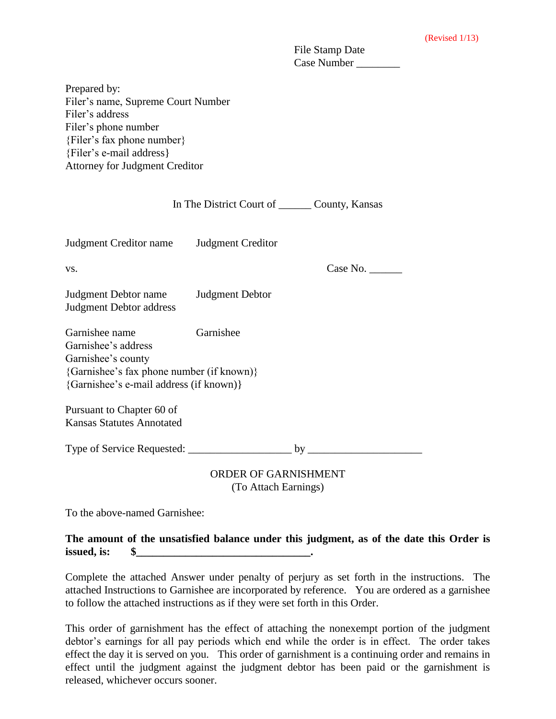| File Stamp Date |  |
|-----------------|--|
| Case Number     |  |

Prepared by: Filer's name, Supreme Court Number Filer's address Filer's phone number {Filer's fax phone number} {Filer's e-mail address} Attorney for Judgment Creditor

|                                                                                                                                                                  |                        | In The District Court of _________ County, Kansas |  |
|------------------------------------------------------------------------------------------------------------------------------------------------------------------|------------------------|---------------------------------------------------|--|
| Judgment Creditor name Judgment Creditor                                                                                                                         |                        |                                                   |  |
| VS.                                                                                                                                                              |                        | Case No. $\_\_\_\_\_\_\_\_\_\_\_\_\_\_\_\_\_$     |  |
| Judgment Debtor name<br><b>Judgment Debtor address</b>                                                                                                           | <b>Judgment Debtor</b> |                                                   |  |
| Garnishee name<br>Garnishee<br>Garnishee's address<br>Garnishee's county<br>{Garnishee's fax phone number (if known)}<br>{Garnishee's e-mail address (if known)} |                        |                                                   |  |
| Pursuant to Chapter 60 of<br><b>Kansas Statutes Annotated</b>                                                                                                    |                        |                                                   |  |
|                                                                                                                                                                  |                        |                                                   |  |
| ODDED OF CADMICUMENT                                                                                                                                             |                        |                                                   |  |

ORDER OF GARNISHMENT (To Attach Earnings)

To the above-named Garnishee:

## **The amount of the unsatisfied balance under this judgment, as of the date this Order is issued, is: \$\_\_\_\_\_\_\_\_\_\_\_\_\_\_\_\_\_\_\_\_\_\_\_\_\_\_\_\_\_\_\_\_.**

Complete the attached Answer under penalty of perjury as set forth in the instructions. The attached Instructions to Garnishee are incorporated by reference. You are ordered as a garnishee to follow the attached instructions as if they were set forth in this Order.

This order of garnishment has the effect of attaching the nonexempt portion of the judgment debtor's earnings for all pay periods which end while the order is in effect. The order takes effect the day it is served on you. This order of garnishment is a continuing order and remains in effect until the judgment against the judgment debtor has been paid or the garnishment is released, whichever occurs sooner.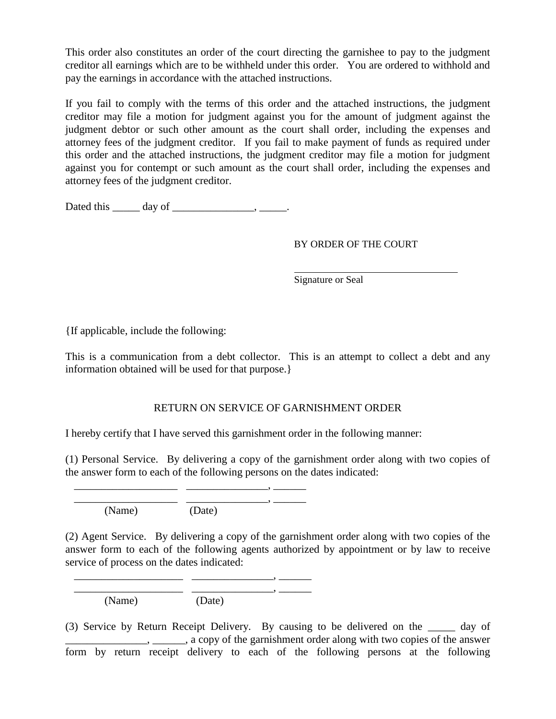This order also constitutes an order of the court directing the garnishee to pay to the judgment creditor all earnings which are to be withheld under this order. You are ordered to withhold and pay the earnings in accordance with the attached instructions.

If you fail to comply with the terms of this order and the attached instructions, the judgment creditor may file a motion for judgment against you for the amount of judgment against the judgment debtor or such other amount as the court shall order, including the expenses and attorney fees of the judgment creditor. If you fail to make payment of funds as required under this order and the attached instructions, the judgment creditor may file a motion for judgment against you for contempt or such amount as the court shall order, including the expenses and attorney fees of the judgment creditor.

Dated this  $\_\_\_\_\_\$  day of  $\_\_\_\_\_\_\_\_\$ .

## BY ORDER OF THE COURT

Signature or Seal

{If applicable, include the following:

This is a communication from a debt collector. This is an attempt to collect a debt and any information obtained will be used for that purpose.}

## RETURN ON SERVICE OF GARNISHMENT ORDER

I hereby certify that I have served this garnishment order in the following manner:

(1) Personal Service. By delivering a copy of the garnishment order along with two copies of the answer form to each of the following persons on the dates indicated:

 \_\_\_\_\_\_\_\_\_\_\_\_\_\_\_\_\_\_\_ \_\_\_\_\_\_\_\_\_\_\_\_\_\_\_, \_\_\_\_\_\_ (Name) (Date)

\_\_\_\_\_\_\_\_\_\_\_\_\_\_\_\_\_\_\_ \_\_\_\_\_\_\_\_\_\_\_\_\_\_\_, \_\_\_\_\_\_

(2) Agent Service. By delivering a copy of the garnishment order along with two copies of the answer form to each of the following agents authorized by appointment or by law to receive service of process on the dates indicated:

 \_\_\_\_\_\_\_\_\_\_\_\_\_\_\_\_\_\_\_\_ \_\_\_\_\_\_\_\_\_\_\_\_\_\_\_, \_\_\_\_\_\_  $\overline{\phantom{a}}$  ,  $\overline{\phantom{a}}$  ,  $\overline{\phantom{a}}$  ,  $\overline{\phantom{a}}$  ,  $\overline{\phantom{a}}$  ,  $\overline{\phantom{a}}$ (Name) (Date)

(3) Service by Return Receipt Delivery. By causing to be delivered on the \_\_\_\_\_ day of  $\ldots$ ,  $\ldots$ ,  $\ldots$ , a copy of the garnishment order along with two copies of the answer form by return receipt delivery to each of the following persons at the following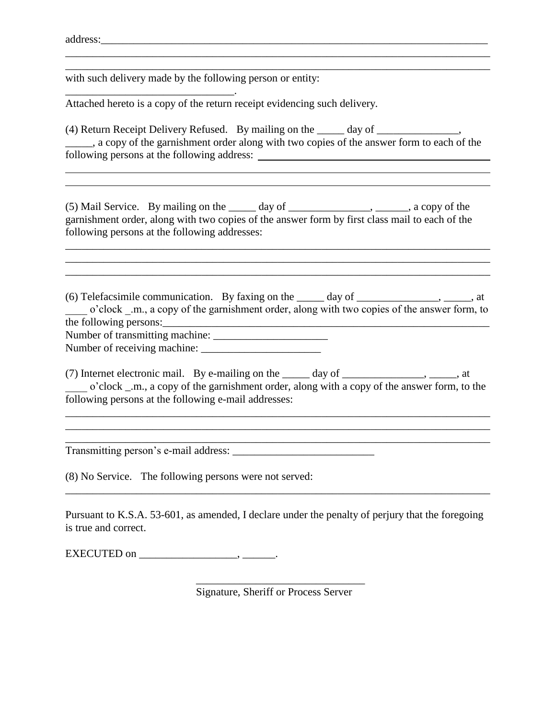address:\_\_\_\_\_\_\_\_\_\_\_\_\_\_\_\_\_\_\_\_\_\_\_\_\_\_\_\_\_\_\_\_\_\_\_\_\_\_\_\_\_\_\_\_\_\_\_\_\_\_\_\_\_\_\_\_\_\_\_\_\_\_\_\_\_\_\_\_\_\_\_

with such delivery made by the following person or entity:

\_\_\_\_\_\_\_\_\_\_\_\_\_\_\_\_\_\_\_\_\_\_\_\_\_\_\_\_\_\_\_.

Attached hereto is a copy of the return receipt evidencing such delivery.

(4) Return Receipt Delivery Refused. By mailing on the \_\_\_\_\_ day of \_\_\_\_\_\_\_\_\_\_\_\_\_\_\_,  $\_\_\_\_\_\$ g, a copy of the garnishment order along with two copies of the answer form to each of the following persons at the following address:

\_\_\_\_\_\_\_\_\_\_\_\_\_\_\_\_\_\_\_\_\_\_\_\_\_\_\_\_\_\_\_\_\_\_\_\_\_\_\_\_\_\_\_\_\_\_\_\_\_\_\_\_\_\_\_\_\_\_\_\_\_\_\_\_\_\_\_\_\_\_\_\_\_\_\_\_\_\_ \_\_\_\_\_\_\_\_\_\_\_\_\_\_\_\_\_\_\_\_\_\_\_\_\_\_\_\_\_\_\_\_\_\_\_\_\_\_\_\_\_\_\_\_\_\_\_\_\_\_\_\_\_\_\_\_\_\_\_\_\_\_\_\_\_\_\_\_\_\_\_\_\_\_\_\_\_\_

(5) Mail Service. By mailing on the \_\_\_\_\_ day of \_\_\_\_\_\_\_\_\_\_\_\_\_\_\_, \_\_\_\_\_\_, a copy of the garnishment order, along with two copies of the answer form by first class mail to each of the following persons at the following addresses:

\_\_\_\_\_\_\_\_\_\_\_\_\_\_\_\_\_\_\_\_\_\_\_\_\_\_\_\_\_\_\_\_\_\_\_\_\_\_\_\_\_\_\_\_\_\_\_\_\_\_\_\_\_\_\_\_\_\_\_\_\_\_\_\_\_\_\_\_\_\_\_\_\_\_\_\_\_\_

\_\_\_\_\_\_\_\_\_\_\_\_\_\_\_\_\_\_\_\_\_\_\_\_\_\_\_\_\_\_\_\_\_\_\_\_\_\_\_\_\_\_\_\_\_\_\_\_\_\_\_\_\_\_\_\_\_\_\_\_\_\_\_\_\_\_\_\_\_\_\_\_\_\_\_\_\_\_

(6) Telefacsimile communication. By faxing on the \_\_\_\_\_ day of \_\_\_\_\_\_\_\_\_\_\_\_\_\_\_, \_\_\_\_\_, at \_\_\_\_ o'clock \_.m., a copy of the garnishment order, along with two copies of the answer form, to the following persons:\_\_\_\_\_\_\_\_\_\_\_\_\_\_\_\_\_\_\_\_\_\_\_\_\_\_\_\_\_\_\_\_\_\_\_\_\_\_\_\_\_\_\_\_\_\_\_\_\_\_\_\_\_\_\_\_\_\_\_\_ Number of transmitting machine:

Number of receiving machine: \_\_\_\_\_\_\_\_\_\_\_\_\_\_\_\_\_\_\_\_\_\_

(7) Internet electronic mail. By e-mailing on the  $\_\_\_\_\_\$  day of  $\_\_\_\_\_\_\_\_\_\_\_\_\_$ ,  $\_\_\_\_\_$ \_\_\_\_ o'clock \_.m., a copy of the garnishment order, along with a copy of the answer form, to the following persons at the following e-mail addresses:

\_\_\_\_\_\_\_\_\_\_\_\_\_\_\_\_\_\_\_\_\_\_\_\_\_\_\_\_\_\_\_\_\_\_\_\_\_\_\_\_\_\_\_\_\_\_\_\_\_\_\_\_\_\_\_\_\_\_\_\_\_\_\_\_\_\_\_\_\_\_\_\_\_\_\_\_\_\_ \_\_\_\_\_\_\_\_\_\_\_\_\_\_\_\_\_\_\_\_\_\_\_\_\_\_\_\_\_\_\_\_\_\_\_\_\_\_\_\_\_\_\_\_\_\_\_\_\_\_\_\_\_\_\_\_\_\_\_\_\_\_\_\_\_\_\_\_\_\_\_\_\_\_\_\_\_\_

Transmitting person's e-mail address: \_\_\_\_\_\_\_\_\_\_\_\_\_\_\_\_\_\_\_\_\_\_\_\_\_\_

(8) No Service. The following persons were not served:

Pursuant to K.S.A. 53-601, as amended, I declare under the penalty of perjury that the foregoing is true and correct.

\_\_\_\_\_\_\_\_\_\_\_\_\_\_\_\_\_\_\_\_\_\_\_\_\_\_\_\_\_\_\_\_\_\_\_\_\_\_\_\_\_\_\_\_\_\_\_\_\_\_\_\_\_\_\_\_\_\_\_\_\_\_\_\_\_\_\_\_\_\_\_\_\_\_\_\_\_\_

EXECUTED on \_\_\_\_\_\_\_\_\_\_\_\_\_\_\_\_\_\_, \_\_\_\_\_\_.

\_\_\_\_\_\_\_\_\_\_\_\_\_\_\_\_\_\_\_\_\_\_\_\_\_\_\_\_\_\_\_ Signature, Sheriff or Process Server